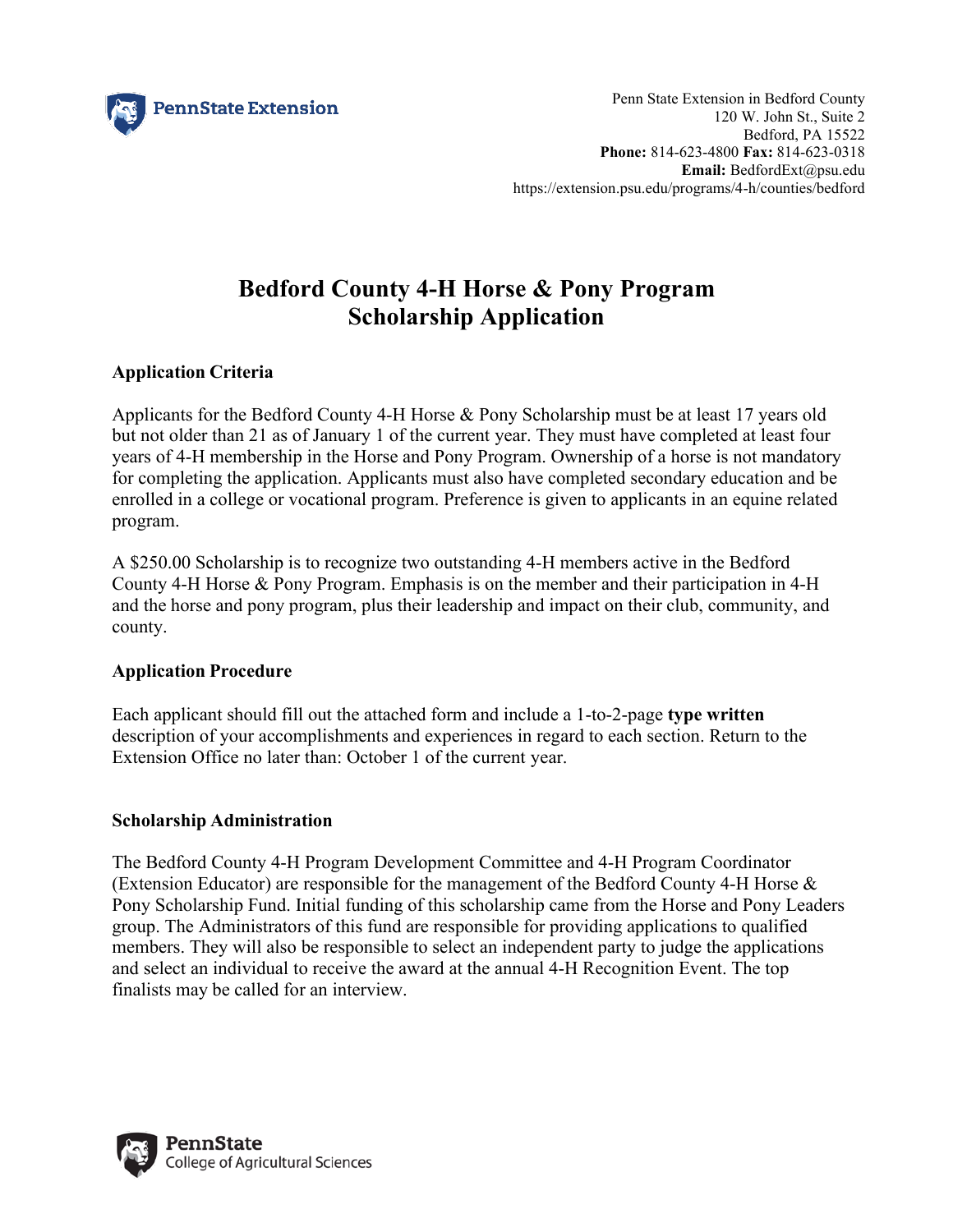

# **Bedford County 4-H Horse & Pony Program Scholarship Application**

# **Application Criteria**

Applicants for the Bedford County 4-H Horse & Pony Scholarship must be at least 17 years old but not older than 21 as of January 1 of the current year. They must have completed at least four years of 4-H membership in the Horse and Pony Program. Ownership of a horse is not mandatory for completing the application. Applicants must also have completed secondary education and be enrolled in a college or vocational program. Preference is given to applicants in an equine related program.

A \$250.00 Scholarship is to recognize two outstanding 4-H members active in the Bedford County 4-H Horse & Pony Program. Emphasis is on the member and their participation in 4-H and the horse and pony program, plus their leadership and impact on their club, community, and county.

# **Application Procedure**

Each applicant should fill out the attached form and include a 1-to-2-page **type written** description of your accomplishments and experiences in regard to each section. Return to the Extension Office no later than: October 1 of the current year.

# **Scholarship Administration**

The Bedford County 4-H Program Development Committee and 4-H Program Coordinator (Extension Educator) are responsible for the management of the Bedford County 4-H Horse  $\&$ Pony Scholarship Fund. Initial funding of this scholarship came from the Horse and Pony Leaders group. The Administrators of this fund are responsible for providing applications to qualified members. They will also be responsible to select an independent party to judge the applications and select an individual to receive the award at the annual 4-H Recognition Event. The top finalists may be called for an interview.

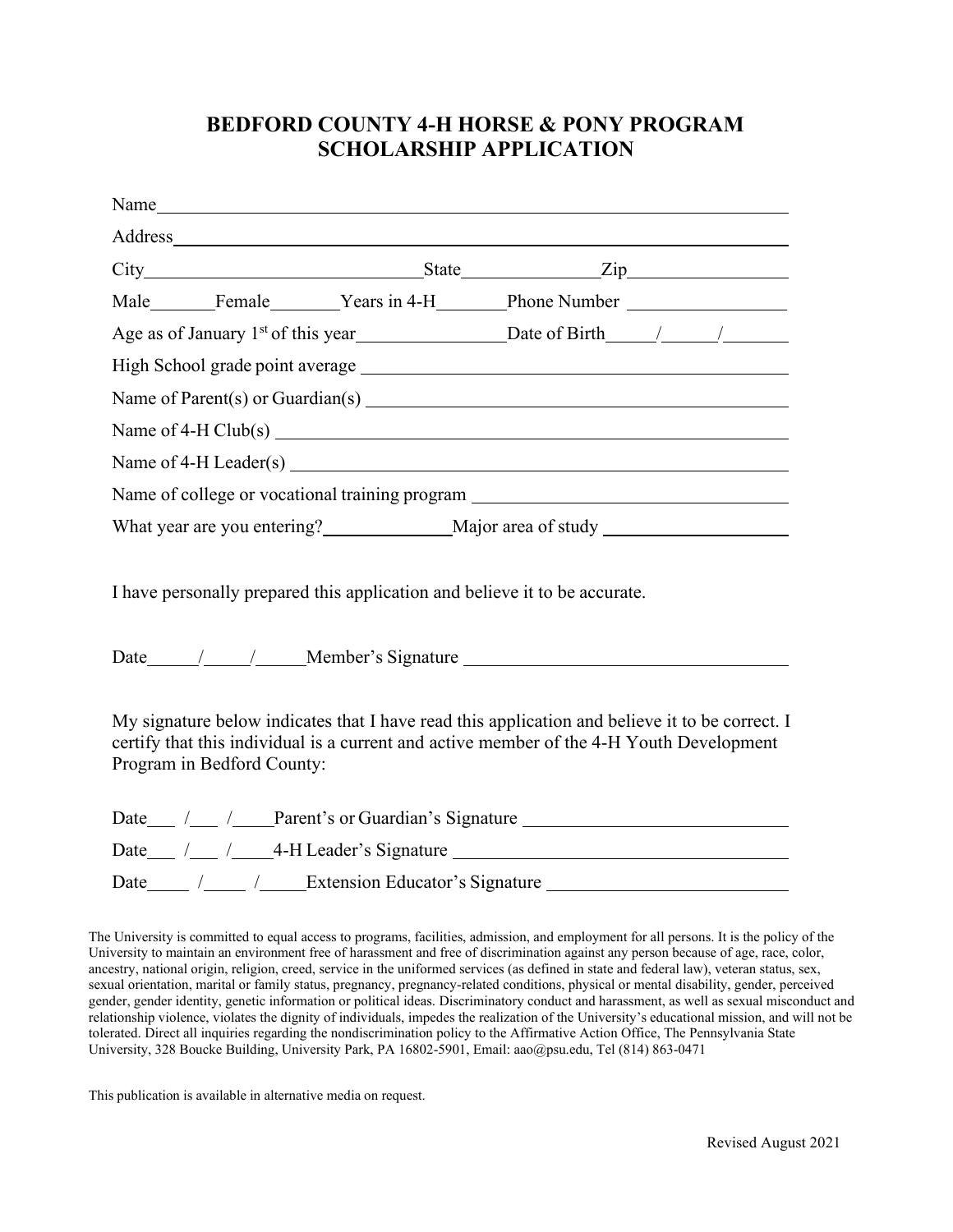# **BEDFORD COUNTY 4-H HORSE & PONY PROGRAM SCHOLARSHIP APPLICATION**

| Name of Parent(s) or Guardian(s) $\qquad \qquad$                                                                                                                                                                         |  |                                             |  |  |
|--------------------------------------------------------------------------------------------------------------------------------------------------------------------------------------------------------------------------|--|---------------------------------------------|--|--|
|                                                                                                                                                                                                                          |  |                                             |  |  |
|                                                                                                                                                                                                                          |  |                                             |  |  |
| Name of college or vocational training program                                                                                                                                                                           |  |                                             |  |  |
|                                                                                                                                                                                                                          |  |                                             |  |  |
| I have personally prepared this application and believe it to be accurate.                                                                                                                                               |  |                                             |  |  |
|                                                                                                                                                                                                                          |  |                                             |  |  |
| My signature below indicates that I have read this application and believe it to be correct. I<br>certify that this individual is a current and active member of the 4-H Youth Development<br>Program in Bedford County: |  |                                             |  |  |
|                                                                                                                                                                                                                          |  | Date / / / Parent's or Guardian's Signature |  |  |
| Date / / / 4-H Leader's Signature                                                                                                                                                                                        |  |                                             |  |  |
|                                                                                                                                                                                                                          |  |                                             |  |  |
|                                                                                                                                                                                                                          |  |                                             |  |  |

The University is committed to equal access to programs, facilities, admission, and employment for all persons. It is the policy of the University to maintain an environment free of harassment and free of discrimination against any person because of age, race, color, ancestry, national origin, religion, creed, service in the uniformed services (as defined in state and federal law), veteran status, sex, sexual orientation, marital or family status, pregnancy, pregnancy-related conditions, physical or mental disability, gender, perceived gender, gender identity, genetic information or political ideas. Discriminatory conduct and harassment, as well as sexual misconduct and relationship violence, violates the dignity of individuals, impedes the realization of the University's educational mission, and will not be tolerated. Direct all inquiries regarding the nondiscrimination policy to the Affirmative Action Office, The Pennsylvania State University, 328 Boucke Building, University Park, PA 16802-5901, Email: aao@psu.edu, Tel (814) 863-0471

This publication is available in alternative media on request.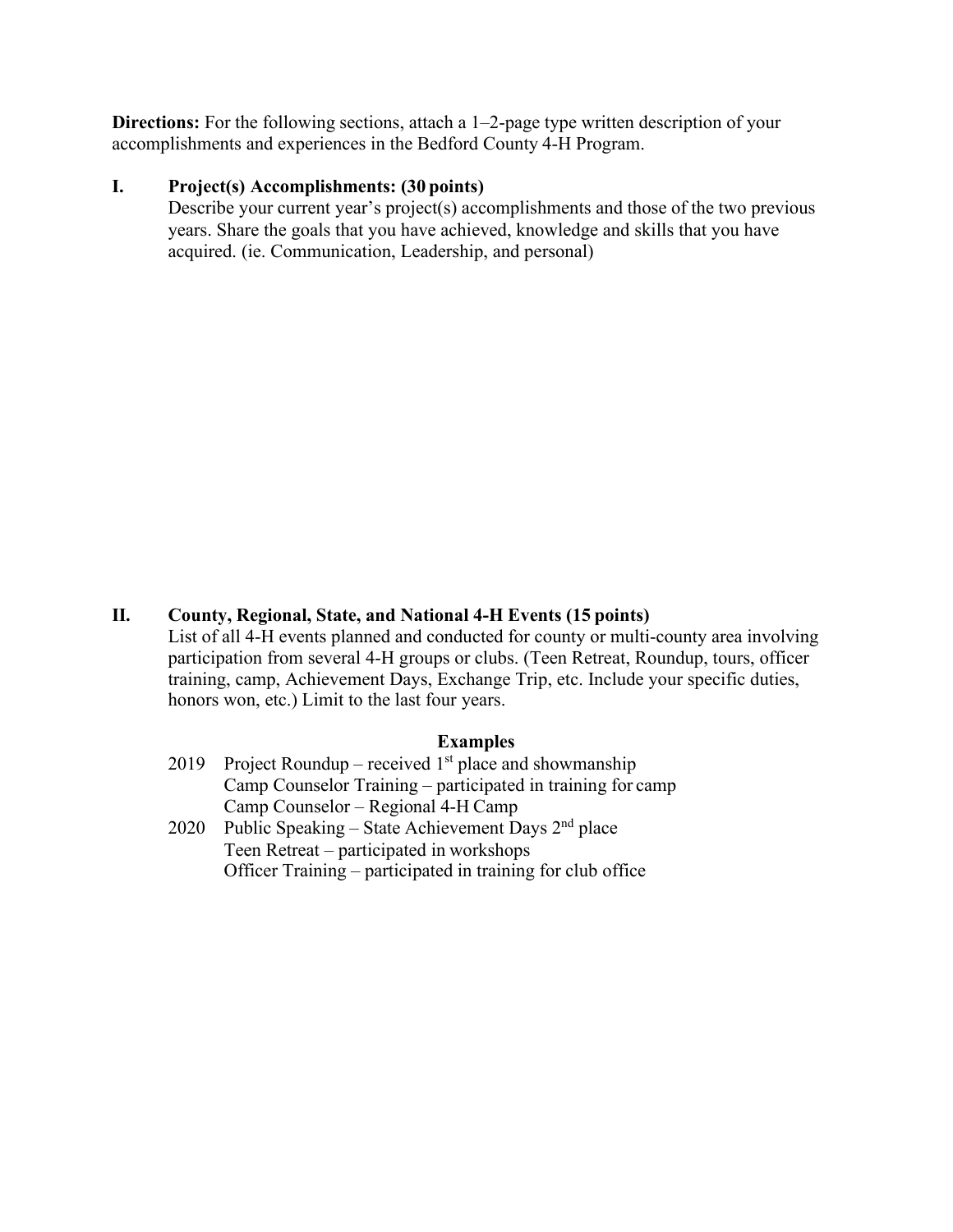**Directions:** For the following sections, attach a 1–2-page type written description of your accomplishments and experiences in the Bedford County 4-H Program.

### **I. Project(s) Accomplishments: (30 points)**

Describe your current year's project(s) accomplishments and those of the two previous years. Share the goals that you have achieved, knowledge and skills that you have acquired. (ie. Communication, Leadership, and personal)

## **II. County, Regional, State, and National 4-H Events (15 points)**

List of all 4-H events planned and conducted for county or multi-county area involving participation from several 4-H groups or clubs. (Teen Retreat, Roundup, tours, officer training, camp, Achievement Days, Exchange Trip, etc. Include your specific duties, honors won, etc.) Limit to the last four years.

#### **Examples**

- 2019 Project Roundup received  $1<sup>st</sup>$  place and showmanship Camp Counselor Training – participated in training for camp Camp Counselor – Regional 4-H Camp
- 2020 Public Speaking State Achievement Days  $2<sup>nd</sup>$  place Teen Retreat – participated in workshops Officer Training – participated in training for club office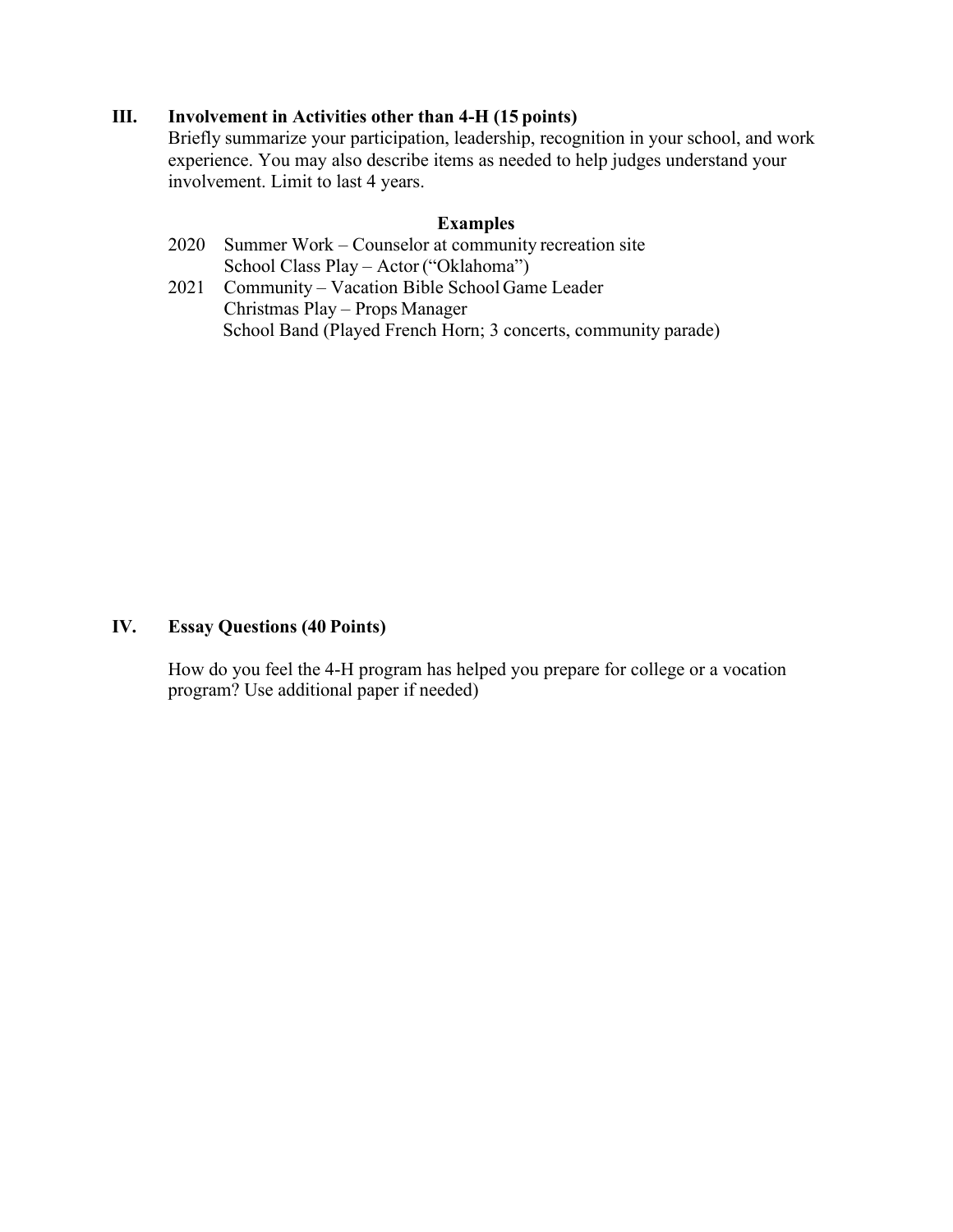#### **III. Involvement in Activities other than 4-H (15 points)**

Briefly summarize your participation, leadership, recognition in your school, and work experience. You may also describe items as needed to help judges understand your involvement. Limit to last 4 years.

#### **Examples**

- 2020 Summer Work Counselor at community recreation site School Class Play – Actor ("Oklahoma")
- 2021 Community Vacation Bible School Game Leader Christmas Play – Props Manager School Band (Played French Horn; 3 concerts, community parade)

#### **IV. Essay Questions (40 Points)**

How do you feel the 4-H program has helped you prepare for college or a vocation program? Use additional paper if needed)